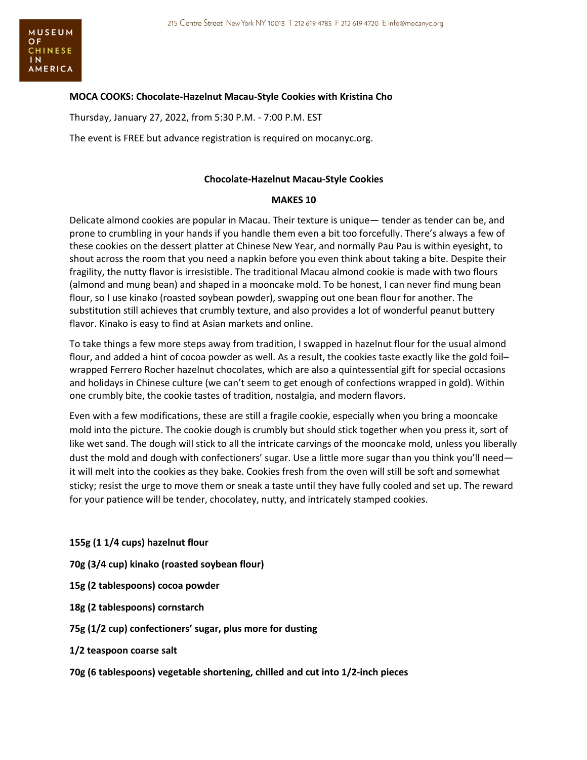

## **MOCA COOKS: Chocolate-Hazelnut Macau-Style Cookies with Kristina Cho**

Thursday, January 27, 2022, from 5:30 P.M. - 7:00 P.M. EST

The event is FREE but advance registration is required on mocanyc.org.

## **Chocolate-Hazelnut Macau-Style Cookies**

## **MAKES 10**

Delicate almond cookies are popular in Macau. Their texture is unique— tender as tender can be, and prone to crumbling in your hands if you handle them even a bit too forcefully. There's always a few of these cookies on the dessert platter at Chinese New Year, and normally Pau Pau is within eyesight, to shout across the room that you need a napkin before you even think about taking a bite. Despite their fragility, the nutty flavor is irresistible. The traditional Macau almond cookie is made with two flours (almond and mung bean) and shaped in a mooncake mold. To be honest, I can never find mung bean flour, so I use kinako (roasted soybean powder), swapping out one bean flour for another. The substitution still achieves that crumbly texture, and also provides a lot of wonderful peanut buttery flavor. Kinako is easy to find at Asian markets and online.

To take things a few more steps away from tradition, I swapped in hazelnut flour for the usual almond flour, and added a hint of cocoa powder as well. As a result, the cookies taste exactly like the gold foil– wrapped Ferrero Rocher hazelnut chocolates, which are also a quintessential gift for special occasions and holidays in Chinese culture (we can't seem to get enough of confections wrapped in gold). Within one crumbly bite, the cookie tastes of tradition, nostalgia, and modern flavors.

Even with a few modifications, these are still a fragile cookie, especially when you bring a mooncake mold into the picture. The cookie dough is crumbly but should stick together when you press it, sort of like wet sand. The dough will stick to all the intricate carvings of the mooncake mold, unless you liberally dust the mold and dough with confectioners' sugar. Use a little more sugar than you think you'll need it will melt into the cookies as they bake. Cookies fresh from the oven will still be soft and somewhat sticky; resist the urge to move them or sneak a taste until they have fully cooled and set up. The reward for your patience will be tender, chocolatey, nutty, and intricately stamped cookies.

**155g (1 1/4 cups) hazelnut flour**

**70g (3/4 cup) kinako (roasted soybean flour)**

**15g (2 tablespoons) cocoa powder**

**18g (2 tablespoons) cornstarch**

## **75g (1/2 cup) confectioners' sugar, plus more for dusting**

**1/2 teaspoon coarse salt**

**70g (6 tablespoons) vegetable shortening, chilled and cut into 1/2-inch pieces**